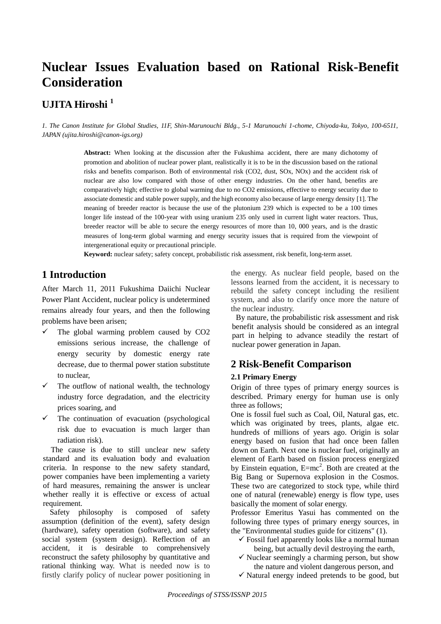# **Nuclear Issues Evaluation based on Rational Risk-Benefit Consideration**

## **UJITA Hiroshi <sup>1</sup>**

*1. The Canon Institute for Global Studies, 11F, Shin-Marunouchi Bldg., 5-1 Marunouchi 1-chome, Chiyoda-ku, Tokyo, 100-6511, JAPAN (ujita.hiroshi@canon-igs.org)*

> **Abstract:** When looking at the discussion after the Fukushima accident, there are many dichotomy of promotion and abolition of nuclear power plant, realistically it is to be in the discussion based on the rational risks and benefits comparison. Both of environmental risk (CO2, dust, SOx, NOx) and the accident risk of nuclear are also low compared with those of other energy industries. On the other hand, benefits are comparatively high; effective to global warming due to no CO2 emissions, effective to energy security due to associate domestic and stable power supply, and the high economy also because of large energy density [1]. The meaning of breeder reactor is because the use of the plutonium 239 which is expected to be a 100 times longer life instead of the 100-year with using uranium 235 only used in current light water reactors. Thus, breeder reactor will be able to secure the energy resources of more than 10, 000 years, and is the drastic measures of long-term global warming and energy security issues that is required from the viewpoint of intergenerational equity or precautional principle.

**Keyword:** nuclear safety; safety concept, probabilistic risk assessment, risk benefit, long-term asset.

### **1 Introduction**

After March 11, 2011 Fukushima Daiichi Nuclear Power Plant Accident, nuclear policy is undetermined remains already four years, and then the following problems have been arisen;

- $\checkmark$  The global warming problem caused by CO2 emissions serious increase, the challenge of energy security by domestic energy rate decrease, due to thermal power station substitute to nuclear,
- $\checkmark$  The outflow of national wealth, the technology industry force degradation, and the electricity prices soaring, and
- $\checkmark$  The continuation of evacuation (psychological risk due to evacuation is much larger than radiation risk).

The cause is due to still unclear new safety standard and its evaluation body and evaluation criteria. In response to the new safety standard, power companies have been implementing a variety of hard measures, remaining the answer is unclear whether really it is effective or excess of actual requirement.

Safety philosophy is composed of safety assumption (definition of the event), safety design (hardware), safety operation (software), and safety social system (system design). Reflection of an accident, it is desirable to comprehensively reconstruct the safety philosophy by quantitative and rational thinking way. What is needed now is to firstly clarify policy of nuclear power positioning in

the energy. As nuclear field people, based on the lessons learned from the accident, it is necessary to rebuild the safety concept including the resilient system, and also to clarify once more the nature of the nuclear industry.

By nature, the probabilistic risk assessment and risk benefit analysis should be considered as an integral part in helping to advance steadily the restart of nuclear power generation in Japan.

### **2 Risk-Benefit Comparison**

#### **2.1 Primary Energy**

Origin of three types of primary energy sources is described. Primary energy for human use is only three as follows;

One is fossil fuel such as Coal, Oil, Natural gas, etc. which was originated by trees, plants, algae etc. hundreds of millions of years ago. Origin is solar energy based on fusion that had once been fallen down on Earth. Next one is nuclear fuel, originally an element of Earth based on fission process energized by Einstein equation,  $E=mc^2$ . Both are created at the Big Bang or Supernova explosion in the Cosmos. These two are categorized to stock type, while third one of natural (renewable) energy is flow type, uses basically the moment of solar energy.

Professor Emeritus Yasui has commented on the following three types of primary energy sources, in the "Environmental studies guide for citizens" (1).

- $\checkmark$  Fossil fuel apparently looks like a normal human being, but actually devil destroying the earth,
- $\checkmark$  Nuclear seemingly a charming person, but show the nature and violent dangerous person, and
- $\checkmark$  Natural energy indeed pretends to be good, but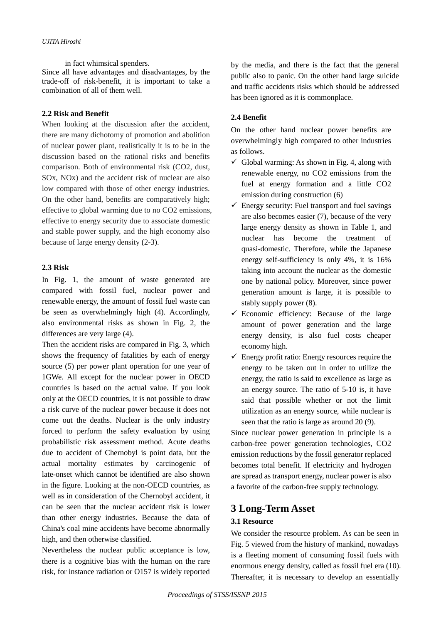in fact whimsical spenders. Since all have advantages and disadvantages, by the trade-off of risk-benefit, it is important to take a combination of all of them well.

#### **2.2 Risk and Benefit**

When looking at the discussion after the accident, there are many dichotomy of promotion and abolition of nuclear power plant, realistically it is to be in the discussion based on the rational risks and benefits comparison. Both of environmental risk (CO2, dust, SOx, NOx) and the accident risk of nuclear are also low compared with those of other energy industries. On the other hand, benefits are comparatively high; effective to global warming due to no CO2 emissions, effective to energy security due to associate domestic and stable power supply, and the high economy also because of large energy density (2-3).

#### **2.3 Risk**

In Fig. 1, the amount of waste generated are compared with fossil fuel, nuclear power and renewable energy, the amount of fossil fuel waste can be seen as overwhelmingly high (4). Accordingly, also environmental risks as shown in Fig. 2, the differences are very large (4).

Then the accident risks are compared in Fig. 3, which shows the frequency of fatalities by each of energy source (5) per power plant operation for one year of 1GWe. All except for the nuclear power in OECD countries is based on the actual value. If you look only at the OECD countries, it is not possible to draw a risk curve of the nuclear power because it does not come out the deaths. Nuclear is the only industry forced to perform the safety evaluation by using probabilistic risk assessment method. Acute deaths due to accident of Chernobyl is point data, but the actual mortality estimates by carcinogenic of late-onset which cannot be identified are also shown in the figure. Looking at the non-OECD countries, as well as in consideration of the Chernobyl accident, it can be seen that the nuclear accident risk is lower than other energy industries. Because the data of China's coal mine accidents have become abnormally high, and then otherwise classified.

Nevertheless the nuclear public acceptance is low, there is a cognitive bias with the human on the rare risk, for instance radiation or O157 is widely reported by the media, and there is the fact that the general public also to panic. On the other hand large suicide and traffic accidents risks which should be addressed has been ignored as it is commonplace.

### **2.4 Benefit**

On the other hand nuclear power benefits are overwhelmingly high compared to other industries as follows.

- $\checkmark$  Global warming: As shown in Fig. 4, along with renewable energy, no CO2 emissions from the fuel at energy formation and a little CO2 emission during construction (6)
- $\checkmark$  Energy security: Fuel transport and fuel savings are also becomes easier (7), because of the very large energy density as shown in Table 1, and nuclear has become the treatment of quasi-domestic. Therefore, while the Japanese energy self-sufficiency is only 4%, it is 16% taking into account the nuclear as the domestic one by national policy. Moreover, since power generation amount is large, it is possible to stably supply power (8).
- $\checkmark$  Economic efficiency: Because of the large amount of power generation and the large energy density, is also fuel costs cheaper economy high.
- $\checkmark$  Energy profit ratio: Energy resources require the energy to be taken out in order to utilize the energy, the ratio is said to excellence as large as an energy source. The ratio of 5-10 is, it have said that possible whether or not the limit utilization as an energy source, while nuclear is seen that the ratio is large as around 20 (9).

Since nuclear power generation in principle is a carbon-free power generation technologies, CO2 emission reductions by the fossil generator replaced becomes total benefit. If electricity and hydrogen are spread as transport energy, nuclear power is also a favorite of the carbon-free supply technology.

### **3 Long-Term Asset**

### **3.1 Resource**

We consider the resource problem. As can be seen in Fig. 5 viewed from the history of mankind, nowadays is a fleeting moment of consuming fossil fuels with enormous energy density, called as fossil fuel era (10). Thereafter, it is necessary to develop an essentially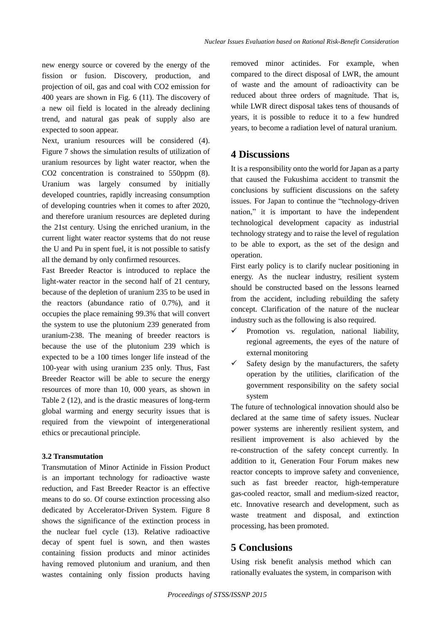new energy source or covered by the energy of the fission or fusion. Discovery, production, and projection of oil, gas and coal with CO2 emission for 400 years are shown in Fig. 6 (11). The discovery of a new oil field is located in the already declining trend, and natural gas peak of supply also are expected to soon appear.

Next, uranium resources will be considered (4). Figure 7 shows the simulation results of utilization of uranium resources by light water reactor, when the CO2 concentration is constrained to 550ppm (8). Uranium was largely consumed by initially developed countries, rapidly increasing consumption of developing countries when it comes to after 2020, and therefore uranium resources are depleted during the 21st century. Using the enriched uranium, in the current light water reactor systems that do not reuse the U and Pu in spent fuel, it is not possible to satisfy all the demand by only confirmed resources.

Fast Breeder Reactor is introduced to replace the light-water reactor in the second half of 21 century, because of the depletion of uranium 235 to be used in the reactors (abundance ratio of 0.7%), and it occupies the place remaining 99.3% that will convert the system to use the plutonium 239 generated from uranium-238. The meaning of breeder reactors is because the use of the plutonium 239 which is expected to be a 100 times longer life instead of the 100-year with using uranium 235 only. Thus, Fast Breeder Reactor will be able to secure the energy resources of more than 10, 000 years, as shown in Table 2 (12), and is the drastic measures of long-term global warming and energy security issues that is required from the viewpoint of intergenerational ethics or precautional principle.

#### **3.2 Transmutation**

Transmutation of Minor Actinide in Fission Product is an important technology for radioactive waste reduction, and Fast Breeder Reactor is an effective means to do so. Of course extinction processing also dedicated by Accelerator-Driven System. Figure 8 shows the significance of the extinction process in the nuclear fuel cycle (13). Relative radioactive decay of spent fuel is sown, and then wastes containing fission products and minor actinides having removed plutonium and uranium, and then wastes containing only fission products having removed minor actinides. For example, when compared to the direct disposal of LWR, the amount of waste and the amount of radioactivity can be reduced about three orders of magnitude. That is, while LWR direct disposal takes tens of thousands of years, it is possible to reduce it to a few hundred years, to become a radiation level of natural uranium.

### **4 Discussions**

It is a responsibility onto the world for Japan as a party that caused the Fukushima accident to transmit the conclusions by sufficient discussions on the safety issues. For Japan to continue the "technology-driven nation," it is important to have the independent technological development capacity as industrial technology strategy and to raise the level of regulation to be able to export, as the set of the design and operation.

First early policy is to clarify nuclear positioning in energy. As the nuclear industry, resilient system should be constructed based on the lessons learned from the accident, including rebuilding the safety concept. Clarification of the nature of the nuclear industry such as the following is also required.

- Promotion vs. regulation, national liability, regional agreements, the eyes of the nature of external monitoring
- $\checkmark$  Safety design by the manufacturers, the safety operation by the utilities, clarification of the government responsibility on the safety social system

The future of technological innovation should also be declared at the same time of safety issues. Nuclear power systems are inherently resilient system, and resilient improvement is also achieved by the re-construction of the safety concept currently. In addition to it, Generation Four Forum makes new reactor concepts to improve safety and convenience, such as fast breeder reactor, high-temperature gas-cooled reactor, small and medium-sized reactor, etc. Innovative research and development, such as waste treatment and disposal, and extinction processing, has been promoted.

### **5 Conclusions**

Using risk benefit analysis method which can rationally evaluates the system, in comparison with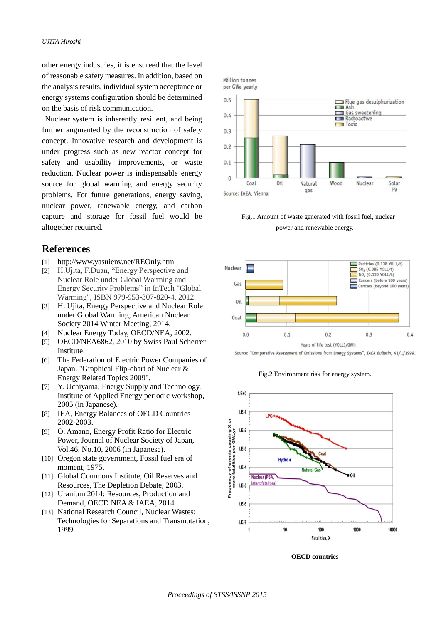other energy industries, it is ensureed that the level of reasonable safety measures. In addition, based on the analysis results, individual system acceptance or energy systems configuration should be determined on the basis of risk communication.

Nuclear system is inherently resilient, and being further augmented by the reconstruction of safety concept. Innovative research and development is under progress such as new reactor concept for safety and usability improvements, or waste reduction. Nuclear power is indispensable energy source for global warming and energy security problems. For future generations, energy saving, nuclear power, renewable energy, and carbon capture and storage for fossil fuel would be altogether required.

### **References**

- [1] <http://www.yasuienv.net/REOnly.htm>
- [2] H.Ujita, F.Duan, "Energy Perspective and Nuclear Role under Global Warming and Energy Security Problems" in InTech "Global Warming", ISBN 979-953-307-820-4, 2012.
- [3] H. Ujita, Energy Perspective and Nuclear Role under Global Warming, American Nuclear Society 2014 Winter Meeting, 2014.
- [4] Nuclear Energy Today, OECD/NEA, 2002.
- [5] OECD/NEA6862, 2010 by Swiss Paul Scherrer Institute.
- [6] The Federation of Electric Power Companies of Japan, "Graphical Flip-chart of Nuclear & Energy Related Topics 2009".
- [7] Y. Uchiyama, Energy Supply and Technology, Institute of Applied Energy periodic workshop, 2005 (in Japanese).
- [8] IEA, Energy Balances of OECD Countries 2002-2003.
- [9] O. Amano, Energy Profit Ratio for Electric Power, Journal of Nuclear Society of Japan, Vol.46, No.10, 2006 (in Japanese).
- [10] Oregon state government, Fossil fuel era of moment, 1975.
- [11] Global Commons Institute, Oil Reserves and Resources, The Depletion Debate, 2003.
- [12] Uranium 2014: Resources, Production and Demand, OECD NEA & IAEA, 2014
- [13] National Research Council, Nuclear Wastes: Technologies for Separations and Transmutation, 1999.





Fig.1 Amount of waste generated with fossil fuel, nuclear power and renewable energy.



Source: "Comparative Assessment of Emissions from Energy Systems", IAEA Bulletin, 41/1/1999.

Fig.2 Environment risk for energy system.



**OECD countries**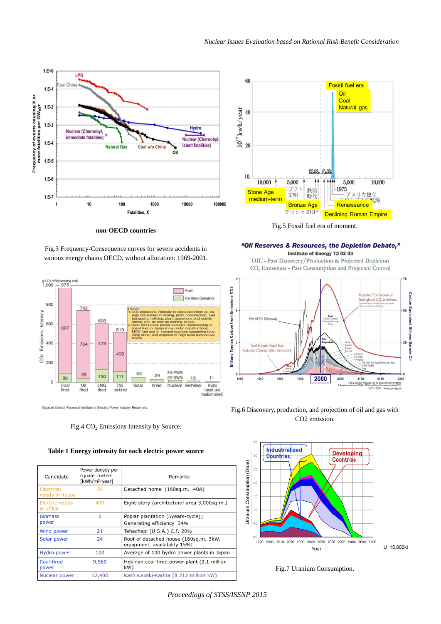

**non-OECD countries**

Fig.3 Frequency-Consequence curves for severe accidents in various energy chains OECD, without allocation: 1969-2001.



(Source) Central Research Institute of Electric Power Industry Report etc.

Fig.4  $CO<sub>2</sub>$  Emissions Intensity by Source.



| Candidate                    | Power density per<br>square meters<br>[kWh/m <sup>2</sup> ·year] | Remarks                                                              |  |
|------------------------------|------------------------------------------------------------------|----------------------------------------------------------------------|--|
| Electrical<br>needs in house | 35                                                               | Detached home (160sq.m. 40A)                                         |  |
| Electric needs<br>in office  | 400                                                              | Eight-story (architectural area 3,000sq.m.)                          |  |
| <b>Biomass</b>               | $\overline{2}$                                                   | Poplar plantation (6years-cycle)」                                    |  |
| power                        |                                                                  | Generating efficiency 34%                                            |  |
| Wind power                   | 21                                                               | Tehachapi (U.S.A.) C.F. 20%                                          |  |
| Solar power                  | 24                                                               | Roof of detached house (160sq.m. 3kW,<br>equipment availability 15%) |  |
| <b>Hydro power</b>           | 100                                                              | Average of 100 hydro power plants in Japan                           |  |
| Coal-fired<br>power          | 9,560                                                            | Hekinan coal-fired power plant (2.1 million<br>kW)                   |  |
| Nuclear power                | 12,400                                                           | Kashiwazaki-Kariha (8.212 million kW)                                |  |



Fig.5 Fossil fuel era of moment.

"Oil Reserves & Resources, the Depletion Debate,"

Institute of Energy 13 02 03 OIL<sup>1</sup>- Past Discovery/Production & Projected Depletion CO<sub>2</sub> Emissions - Past Consumption and Projected Control



Fig.6 Discovery, production, and projection of oil and gas with CO2 emission.



Fig.7 Uranium Consumption.

*Proceedings of STSS/ISSNP 2015*